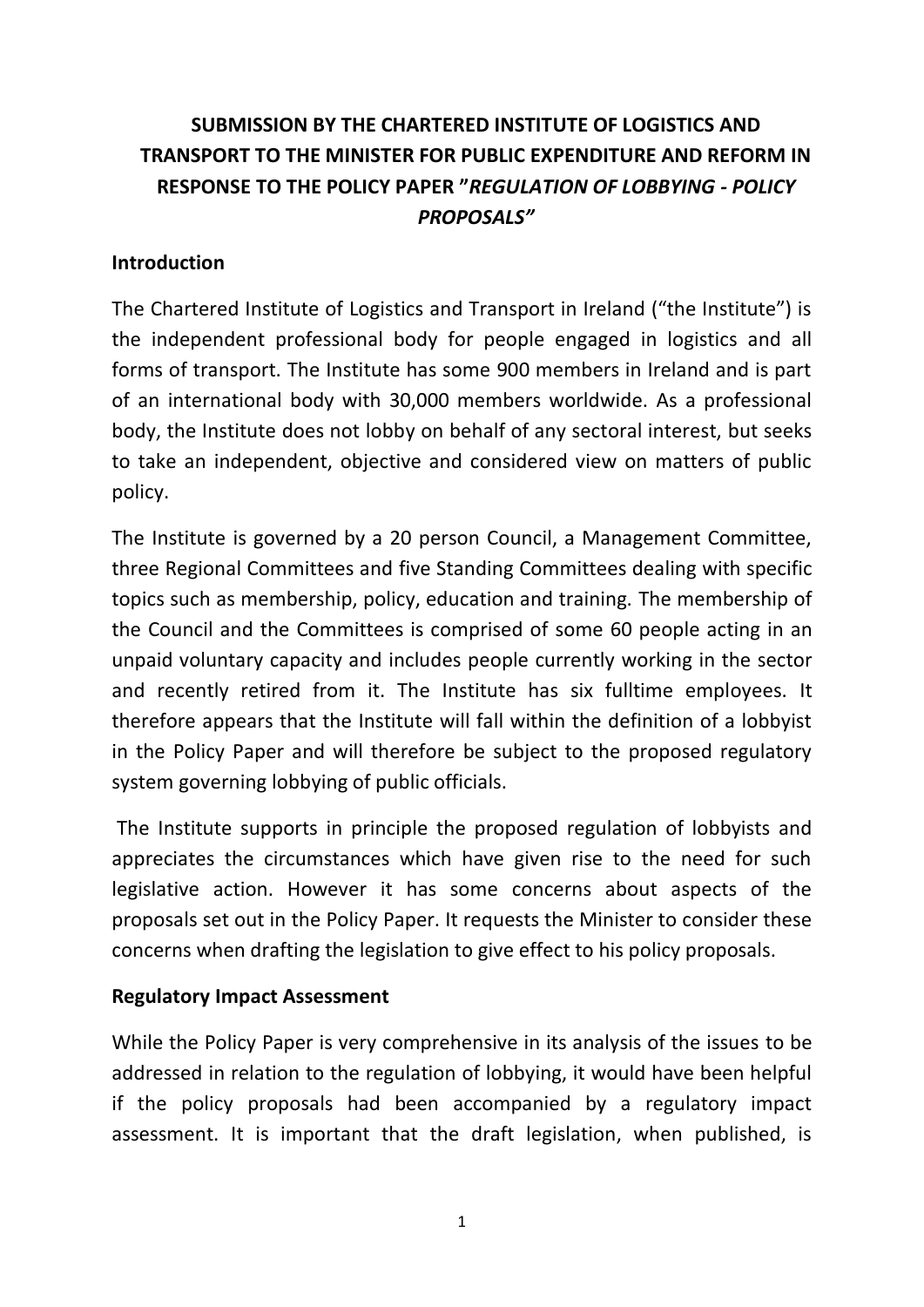# **SUBMISSION BY THE CHARTERED INSTITUTE OF LOGISTICS AND TRANSPORT TO THE MINISTER FOR PUBLIC EXPENDITURE AND REFORM IN RESPONSE TO THE POLICY PAPER "***REGULATION OF LOBBYING - POLICY PROPOSALS"*

### **Introduction**

The Chartered Institute of Logistics and Transport in Ireland ("the Institute") is the independent professional body for people engaged in logistics and all forms of transport. The Institute has some 900 members in Ireland and is part of an international body with 30,000 members worldwide. As a professional body, the Institute does not lobby on behalf of any sectoral interest, but seeks to take an independent, objective and considered view on matters of public policy.

The Institute is governed by a 20 person Council, a Management Committee, three Regional Committees and five Standing Committees dealing with specific topics such as membership, policy, education and training. The membership of the Council and the Committees is comprised of some 60 people acting in an unpaid voluntary capacity and includes people currently working in the sector and recently retired from it. The Institute has six fulltime employees. It therefore appears that the Institute will fall within the definition of a lobbyist in the Policy Paper and will therefore be subject to the proposed regulatory system governing lobbying of public officials.

The Institute supports in principle the proposed regulation of lobbyists and appreciates the circumstances which have given rise to the need for such legislative action. However it has some concerns about aspects of the proposals set out in the Policy Paper. It requests the Minister to consider these concerns when drafting the legislation to give effect to his policy proposals.

#### **Regulatory Impact Assessment**

While the Policy Paper is very comprehensive in its analysis of the issues to be addressed in relation to the regulation of lobbying, it would have been helpful if the policy proposals had been accompanied by a regulatory impact assessment. It is important that the draft legislation, when published, is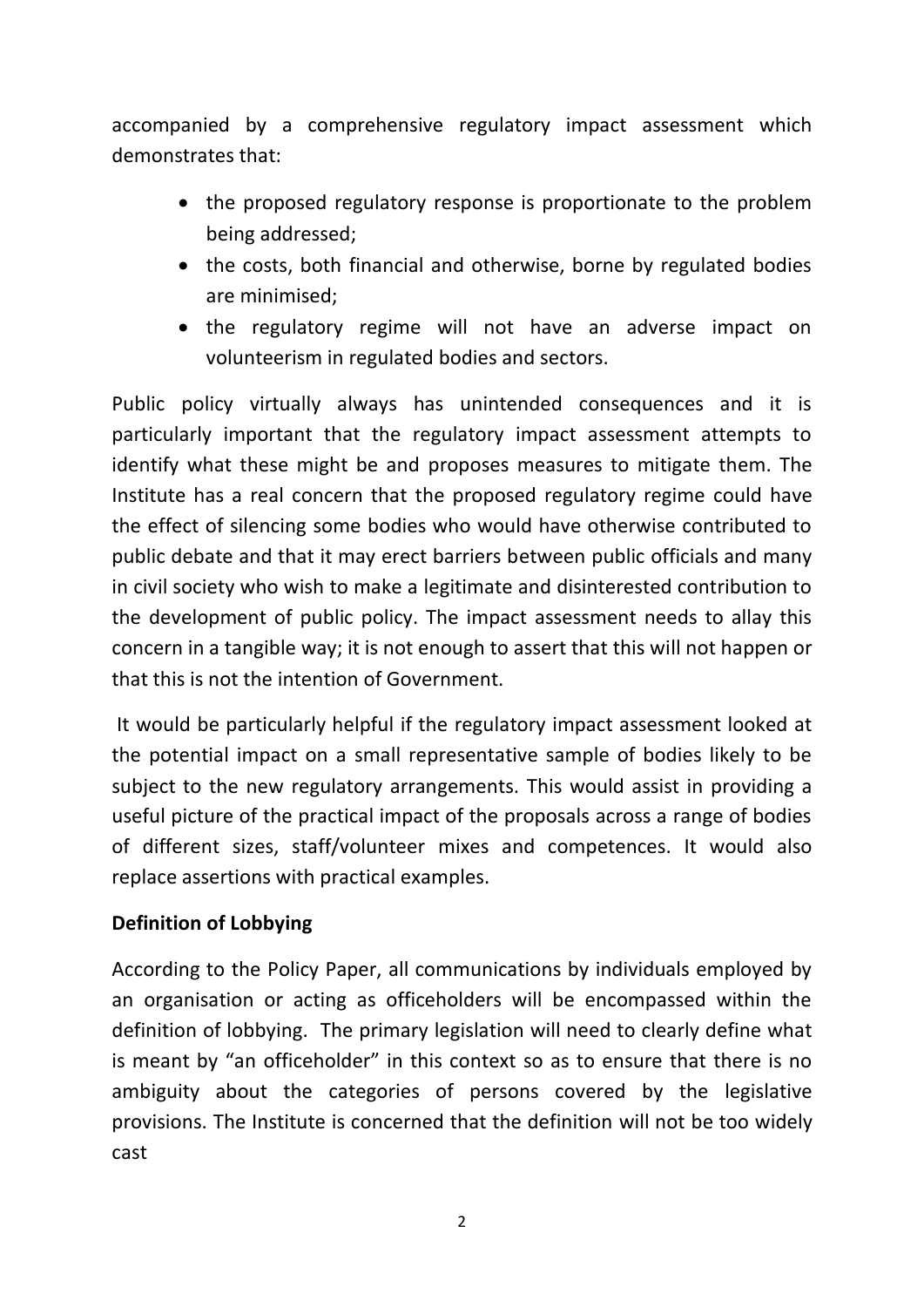accompanied by a comprehensive regulatory impact assessment which demonstrates that:

- the proposed regulatory response is proportionate to the problem being addressed;
- the costs, both financial and otherwise, borne by regulated bodies are minimised;
- the regulatory regime will not have an adverse impact on volunteerism in regulated bodies and sectors.

Public policy virtually always has unintended consequences and it is particularly important that the regulatory impact assessment attempts to identify what these might be and proposes measures to mitigate them. The Institute has a real concern that the proposed regulatory regime could have the effect of silencing some bodies who would have otherwise contributed to public debate and that it may erect barriers between public officials and many in civil society who wish to make a legitimate and disinterested contribution to the development of public policy. The impact assessment needs to allay this concern in a tangible way; it is not enough to assert that this will not happen or that this is not the intention of Government.

It would be particularly helpful if the regulatory impact assessment looked at the potential impact on a small representative sample of bodies likely to be subject to the new regulatory arrangements. This would assist in providing a useful picture of the practical impact of the proposals across a range of bodies of different sizes, staff/volunteer mixes and competences. It would also replace assertions with practical examples.

### **Definition of Lobbying**

According to the Policy Paper, all communications by individuals employed by an organisation or acting as officeholders will be encompassed within the definition of lobbying. The primary legislation will need to clearly define what is meant by "an officeholder" in this context so as to ensure that there is no ambiguity about the categories of persons covered by the legislative provisions. The Institute is concerned that the definition will not be too widely cast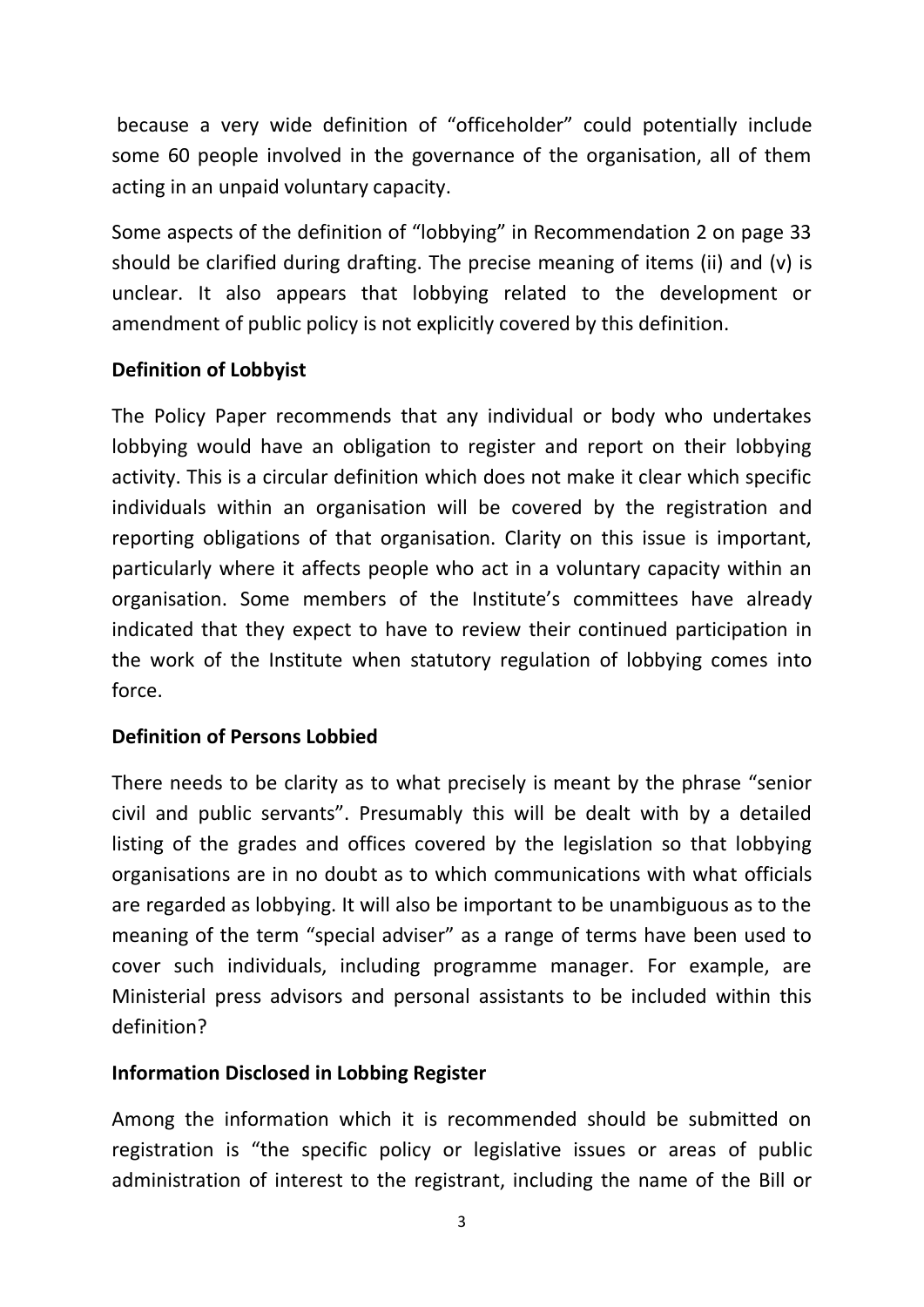because a very wide definition of "officeholder" could potentially include some 60 people involved in the governance of the organisation, all of them acting in an unpaid voluntary capacity.

Some aspects of the definition of "lobbying" in Recommendation 2 on page 33 should be clarified during drafting. The precise meaning of items (ii) and (v) is unclear. It also appears that lobbying related to the development or amendment of public policy is not explicitly covered by this definition.

## **Definition of Lobbyist**

The Policy Paper recommends that any individual or body who undertakes lobbying would have an obligation to register and report on their lobbying activity. This is a circular definition which does not make it clear which specific individuals within an organisation will be covered by the registration and reporting obligations of that organisation. Clarity on this issue is important, particularly where it affects people who act in a voluntary capacity within an organisation. Some members of the Institute's committees have already indicated that they expect to have to review their continued participation in the work of the Institute when statutory regulation of lobbying comes into force.

### **Definition of Persons Lobbied**

There needs to be clarity as to what precisely is meant by the phrase "senior civil and public servants". Presumably this will be dealt with by a detailed listing of the grades and offices covered by the legislation so that lobbying organisations are in no doubt as to which communications with what officials are regarded as lobbying. It will also be important to be unambiguous as to the meaning of the term "special adviser" as a range of terms have been used to cover such individuals, including programme manager. For example, are Ministerial press advisors and personal assistants to be included within this definition?

### **Information Disclosed in Lobbing Register**

Among the information which it is recommended should be submitted on registration is "the specific policy or legislative issues or areas of public administration of interest to the registrant, including the name of the Bill or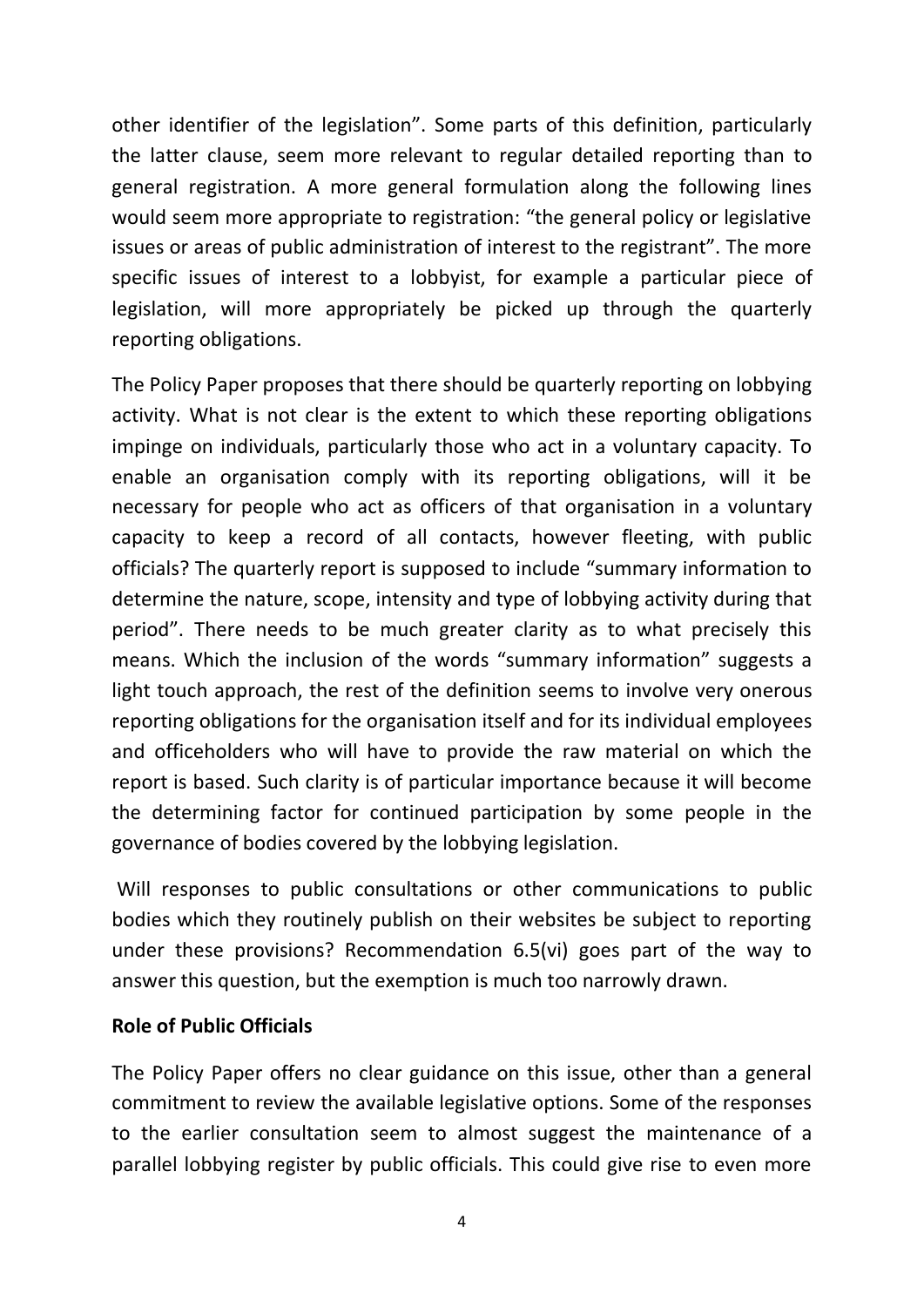other identifier of the legislation". Some parts of this definition, particularly the latter clause, seem more relevant to regular detailed reporting than to general registration. A more general formulation along the following lines would seem more appropriate to registration: "the general policy or legislative issues or areas of public administration of interest to the registrant". The more specific issues of interest to a lobbyist, for example a particular piece of legislation, will more appropriately be picked up through the quarterly reporting obligations.

The Policy Paper proposes that there should be quarterly reporting on lobbying activity. What is not clear is the extent to which these reporting obligations impinge on individuals, particularly those who act in a voluntary capacity. To enable an organisation comply with its reporting obligations, will it be necessary for people who act as officers of that organisation in a voluntary capacity to keep a record of all contacts, however fleeting, with public officials? The quarterly report is supposed to include "summary information to determine the nature, scope, intensity and type of lobbying activity during that period". There needs to be much greater clarity as to what precisely this means. Which the inclusion of the words "summary information" suggests a light touch approach, the rest of the definition seems to involve very onerous reporting obligations for the organisation itself and for its individual employees and officeholders who will have to provide the raw material on which the report is based. Such clarity is of particular importance because it will become the determining factor for continued participation by some people in the governance of bodies covered by the lobbying legislation.

Will responses to public consultations or other communications to public bodies which they routinely publish on their websites be subject to reporting under these provisions? Recommendation 6.5(vi) goes part of the way to answer this question, but the exemption is much too narrowly drawn.

### **Role of Public Officials**

The Policy Paper offers no clear guidance on this issue, other than a general commitment to review the available legislative options. Some of the responses to the earlier consultation seem to almost suggest the maintenance of a parallel lobbying register by public officials. This could give rise to even more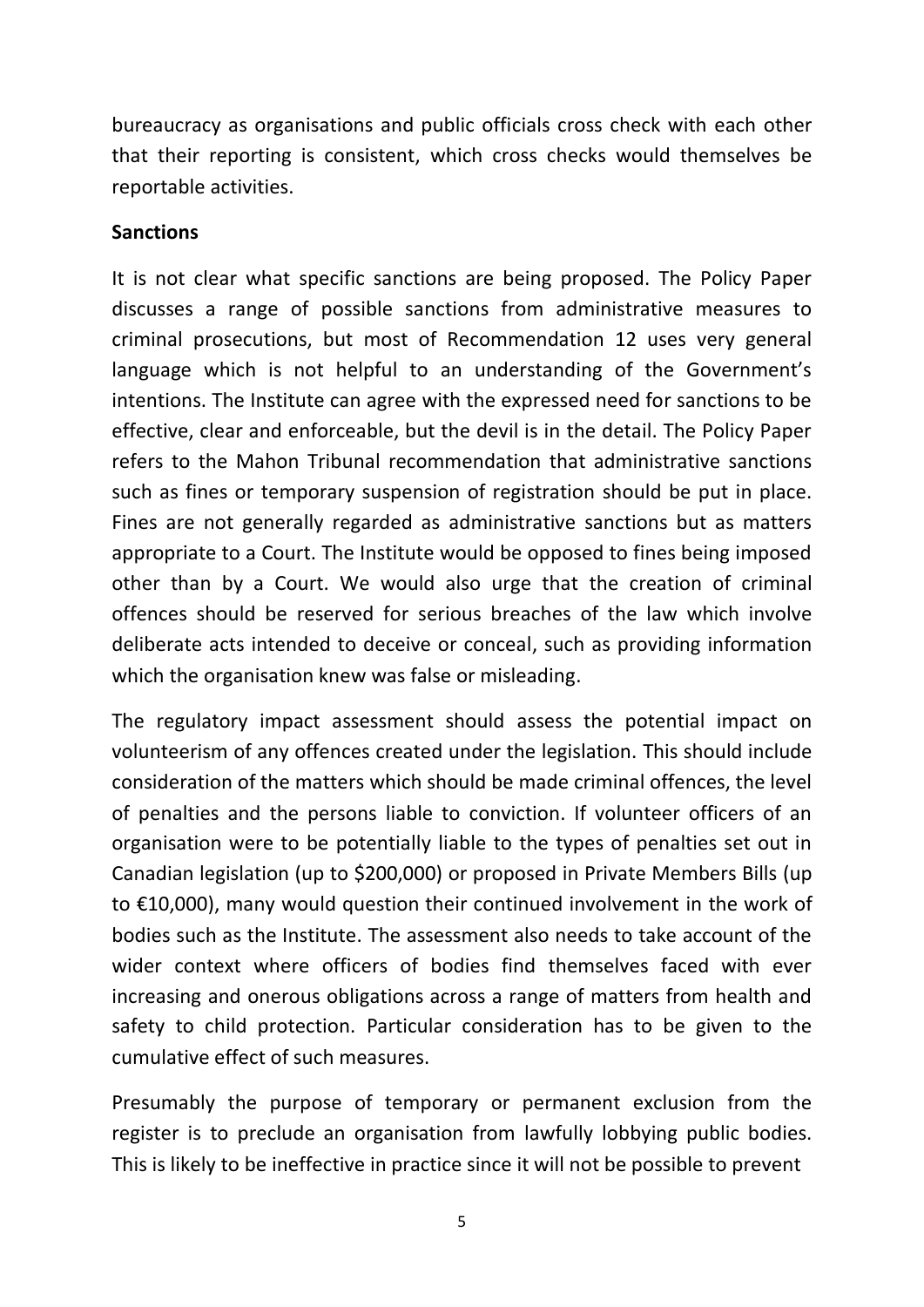bureaucracy as organisations and public officials cross check with each other that their reporting is consistent, which cross checks would themselves be reportable activities.

#### **Sanctions**

It is not clear what specific sanctions are being proposed. The Policy Paper discusses a range of possible sanctions from administrative measures to criminal prosecutions, but most of Recommendation 12 uses very general language which is not helpful to an understanding of the Government's intentions. The Institute can agree with the expressed need for sanctions to be effective, clear and enforceable, but the devil is in the detail. The Policy Paper refers to the Mahon Tribunal recommendation that administrative sanctions such as fines or temporary suspension of registration should be put in place. Fines are not generally regarded as administrative sanctions but as matters appropriate to a Court. The Institute would be opposed to fines being imposed other than by a Court. We would also urge that the creation of criminal offences should be reserved for serious breaches of the law which involve deliberate acts intended to deceive or conceal, such as providing information which the organisation knew was false or misleading.

The regulatory impact assessment should assess the potential impact on volunteerism of any offences created under the legislation. This should include consideration of the matters which should be made criminal offences, the level of penalties and the persons liable to conviction. If volunteer officers of an organisation were to be potentially liable to the types of penalties set out in Canadian legislation (up to \$200,000) or proposed in Private Members Bills (up to €10,000), many would question their continued involvement in the work of bodies such as the Institute. The assessment also needs to take account of the wider context where officers of bodies find themselves faced with ever increasing and onerous obligations across a range of matters from health and safety to child protection. Particular consideration has to be given to the cumulative effect of such measures.

Presumably the purpose of temporary or permanent exclusion from the register is to preclude an organisation from lawfully lobbying public bodies. This is likely to be ineffective in practice since it will not be possible to prevent

5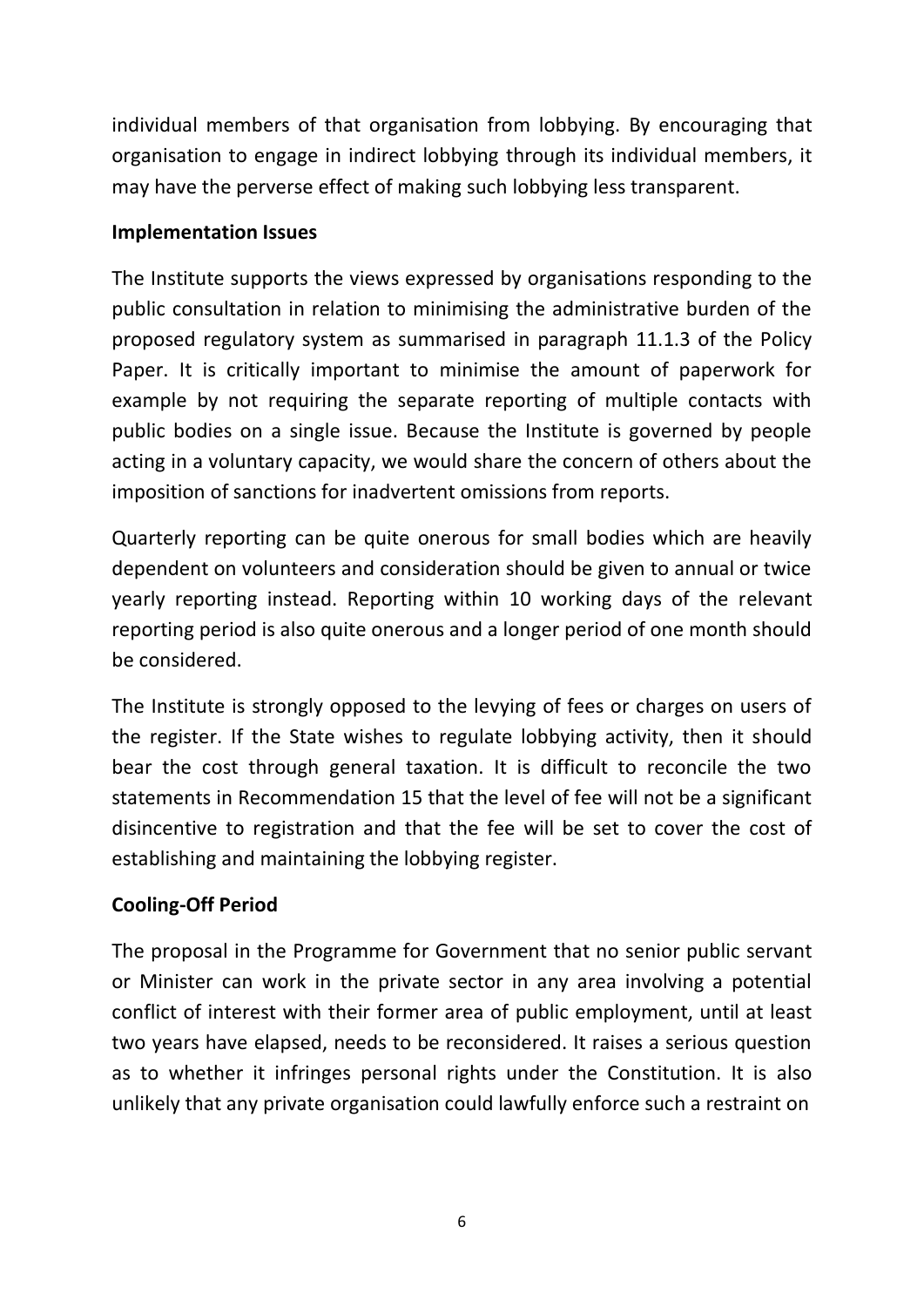individual members of that organisation from lobbying. By encouraging that organisation to engage in indirect lobbying through its individual members, it may have the perverse effect of making such lobbying less transparent.

### **Implementation Issues**

The Institute supports the views expressed by organisations responding to the public consultation in relation to minimising the administrative burden of the proposed regulatory system as summarised in paragraph 11.1.3 of the Policy Paper. It is critically important to minimise the amount of paperwork for example by not requiring the separate reporting of multiple contacts with public bodies on a single issue. Because the Institute is governed by people acting in a voluntary capacity, we would share the concern of others about the imposition of sanctions for inadvertent omissions from reports.

Quarterly reporting can be quite onerous for small bodies which are heavily dependent on volunteers and consideration should be given to annual or twice yearly reporting instead. Reporting within 10 working days of the relevant reporting period is also quite onerous and a longer period of one month should be considered.

The Institute is strongly opposed to the levying of fees or charges on users of the register. If the State wishes to regulate lobbying activity, then it should bear the cost through general taxation. It is difficult to reconcile the two statements in Recommendation 15 that the level of fee will not be a significant disincentive to registration and that the fee will be set to cover the cost of establishing and maintaining the lobbying register.

## **Cooling-Off Period**

The proposal in the Programme for Government that no senior public servant or Minister can work in the private sector in any area involving a potential conflict of interest with their former area of public employment, until at least two years have elapsed, needs to be reconsidered. It raises a serious question as to whether it infringes personal rights under the Constitution. It is also unlikely that any private organisation could lawfully enforce such a restraint on